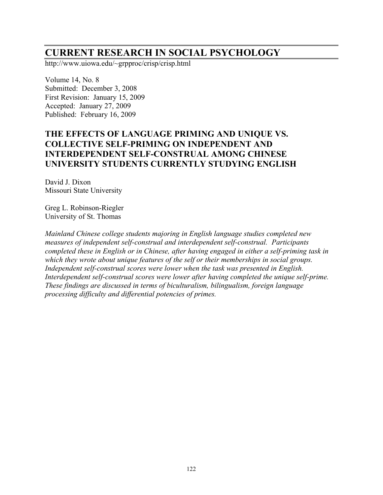# **CURRENT RESEARCH IN SOCIAL PSYCHOLOGY**

http://www.uiowa.edu/~grpproc/crisp/crisp.html

Volume 14, No. 8 Submitted: December 3, 2008 First Revision: January 15, 2009 Accepted: January 27, 2009 Published: February 16, 2009

# **THE EFFECTS OF LANGUAGE PRIMING AND UNIQUE VS. COLLECTIVE SELF-PRIMING ON INDEPENDENT AND INTERDEPENDENT SELF-CONSTRUAL AMONG CHINESE UNIVERSITY STUDENTS CURRENTLY STUDYING ENGLISH**

David J. Dixon Missouri State University

Greg L. Robinson-Riegler University of St. Thomas

*Mainland Chinese college students majoring in English language studies completed new measures of independent self-construal and interdependent self-construal. Participants completed these in English or in Chinese, after having engaged in either a self-priming task in which they wrote about unique features of the self or their memberships in social groups. Independent self-construal scores were lower when the task was presented in English. Interdependent self-construal scores were lower after having completed the unique self-prime. These findings are discussed in terms of biculturalism, bilingualism, foreign language processing difficulty and differential potencies of primes.*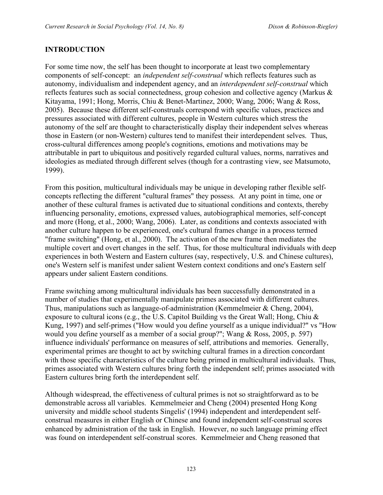#### **INTRODUCTION**

For some time now, the self has been thought to incorporate at least two complementary components of self-concept: an *independent self-construal* which reflects features such as autonomy, individualism and independent agency, and an *interdependent self-construal* which reflects features such as social connectedness, group cohesion and collective agency (Markus & Kitayama, 1991; Hong, Morris, Chiu & Benet-Martinez, 2000; Wang, 2006; Wang & Ross, 2005). Because these different self-construals correspond with specific values, practices and pressures associated with different cultures, people in Western cultures which stress the autonomy of the self are thought to characteristically display their independent selves whereas those in Eastern (or non-Western) cultures tend to manifest their interdependent selves. Thus, cross-cultural differences among people's cognitions, emotions and motivations may be attributable in part to ubiquitous and positively regarded cultural values, norms, narratives and ideologies as mediated through different selves (though for a contrasting view, see Matsumoto, 1999).

From this position, multicultural individuals may be unique in developing rather flexible selfconcepts reflecting the different "cultural frames" they possess. At any point in time, one or another of these cultural frames is activated due to situational conditions and contexts, thereby influencing personality, emotions, expressed values, autobiographical memories, self-concept and more (Hong, et al., 2000; Wang, 2006). Later, as conditions and contexts associated with another culture happen to be experienced, one's cultural frames change in a process termed "frame switching" (Hong, et al., 2000). The activation of the new frame then mediates the multiple covert and overt changes in the self. Thus, for those multicultural individuals with deep experiences in both Western and Eastern cultures (say, respectively, U.S. and Chinese cultures), one's Western self is manifest under salient Western context conditions and one's Eastern self appears under salient Eastern conditions.

Frame switching among multicultural individuals has been successfully demonstrated in a number of studies that experimentally manipulate primes associated with different cultures. Thus, manipulations such as language-of-administration (Kemmelmeier & Cheng, 2004), exposure to cultural icons (e.g., the U.S. Capitol Building vs the Great Wall; Hong, Chiu & Kung, 1997) and self-primes ("How would you define yourself as a unique individual?" vs "How would you define yourself as a member of a social group?"; Wang & Ross, 2005, p. 597) influence individuals' performance on measures of self, attributions and memories. Generally, experimental primes are thought to act by switching cultural frames in a direction concordant with those specific characteristics of the culture being primed in multicultural individuals. Thus, primes associated with Western cultures bring forth the independent self; primes associated with Eastern cultures bring forth the interdependent self.

Although widespread, the effectiveness of cultural primes is not so straightforward as to be demonstrable across all variables. Kemmelmeier and Cheng (2004) presented Hong Kong university and middle school students Singelis' (1994) independent and interdependent selfconstrual measures in either English or Chinese and found independent self-construal scores enhanced by administration of the task in English. However, no such language priming effect was found on interdependent self-construal scores. Kemmelmeier and Cheng reasoned that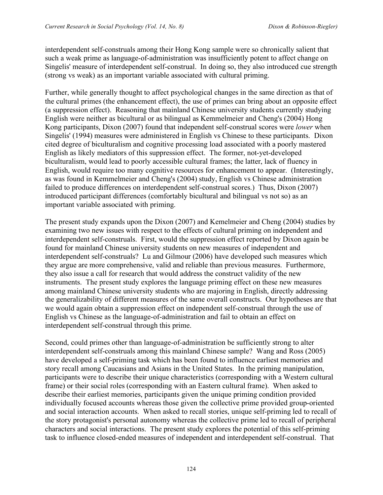interdependent self-construals among their Hong Kong sample were so chronically salient that such a weak prime as language-of-administration was insufficiently potent to affect change on Singelis' measure of interdependent self-construal. In doing so, they also introduced cue strength (strong vs weak) as an important variable associated with cultural priming.

Further, while generally thought to affect psychological changes in the same direction as that of the cultural primes (the enhancement effect), the use of primes can bring about an opposite effect (a suppression effect). Reasoning that mainland Chinese university students currently studying English were neither as bicultural or as bilingual as Kemmelmeier and Cheng's (2004) Hong Kong participants, Dixon (2007) found that independent self-construal scores were *lower* when Singelis' (1994) measures were administered in English vs Chinese to these participants. Dixon cited degree of biculturalism and cognitive processing load associated with a poorly mastered English as likely mediators of this suppression effect. The former, not-yet-developed biculturalism, would lead to poorly accessible cultural frames; the latter, lack of fluency in English, would require too many cognitive resources for enhancement to appear. (Interestingly, as was found in Kemmelmeier and Cheng's (2004) study, English vs Chinese administration failed to produce differences on interdependent self-construal scores.) Thus, Dixon (2007) introduced participant differences (comfortably bicultural and bilingual vs not so) as an important variable associated with priming.

The present study expands upon the Dixon (2007) and Kemelmeier and Cheng (2004) studies by examining two new issues with respect to the effects of cultural priming on independent and interdependent self-construals. First, would the suppression effect reported by Dixon again be found for mainland Chinese university students on new measures of independent and interdependent self-construals? Lu and Gilmour (2006) have developed such measures which they argue are more comprehensive, valid and reliable than previous measures. Furthermore, they also issue a call for research that would address the construct validity of the new instruments. The present study explores the language priming effect on these new measures among mainland Chinese university students who are majoring in English, directly addressing the generalizability of different measures of the same overall constructs. Our hypotheses are that we would again obtain a suppression effect on independent self-construal through the use of English vs Chinese as the language-of-administration and fail to obtain an effect on interdependent self-construal through this prime.

Second, could primes other than language-of-administration be sufficiently strong to alter interdependent self-construals among this mainland Chinese sample? Wang and Ross (2005) have developed a self-priming task which has been found to influence earliest memories and story recall among Caucasians and Asians in the United States. In the priming manipulation, participants were to describe their unique characteristics (corresponding with a Western cultural frame) or their social roles (corresponding with an Eastern cultural frame). When asked to describe their earliest memories, participants given the unique priming condition provided individually focused accounts whereas those given the collective prime provided group-oriented and social interaction accounts. When asked to recall stories, unique self-priming led to recall of the story protagonist's personal autonomy whereas the collective prime led to recall of peripheral characters and social interactions. The present study explores the potential of this self-priming task to influence closed-ended measures of independent and interdependent self-construal. That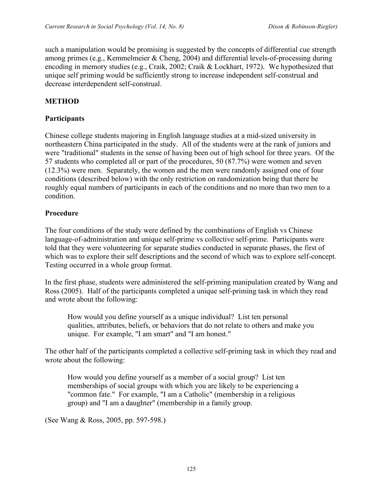such a manipulation would be promising is suggested by the concepts of differential cue strength among primes (e.g., Kemmelmeier & Cheng, 2004) and differential levels-of-processing during encoding in memory studies (e.g., Craik, 2002; Craik & Lockhart, 1972). We hypothesized that unique self priming would be sufficiently strong to increase independent self-construal and decrease interdependent self-construal.

#### **METHOD**

#### **Participants**

Chinese college students majoring in English language studies at a mid-sized university in northeastern China participated in the study. All of the students were at the rank of juniors and were "traditional" students in the sense of having been out of high school for three years. Of the 57 students who completed all or part of the procedures, 50 (87.7%) were women and seven (12.3%) were men. Separately, the women and the men were randomly assigned one of four conditions (described below) with the only restriction on randomization being that there be roughly equal numbers of participants in each of the conditions and no more than two men to a condition.

#### **Procedure**

The four conditions of the study were defined by the combinations of English vs Chinese language-of-administration and unique self-prime vs collective self-prime. Participants were told that they were volunteering for separate studies conducted in separate phases, the first of which was to explore their self descriptions and the second of which was to explore self-concept. Testing occurred in a whole group format.

In the first phase, students were administered the self-priming manipulation created by Wang and Ross (2005). Half of the participants completed a unique self-priming task in which they read and wrote about the following:

How would you define yourself as a unique individual? List ten personal qualities, attributes, beliefs, or behaviors that do not relate to others and make you unique. For example, "I am smart" and "I am honest."

The other half of the participants completed a collective self-priming task in which they read and wrote about the following:

How would you define yourself as a member of a social group? List ten memberships of social groups with which you are likely to be experiencing a "common fate." For example, "I am a Catholic" (membership in a religious group) and "I am a daughter" (membership in a family group.

(See Wang & Ross, 2005, pp. 597-598.)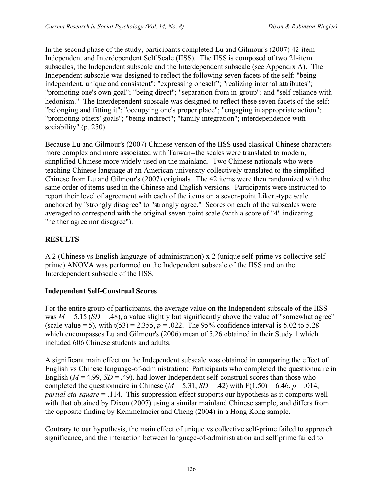In the second phase of the study, participants completed Lu and Gilmour's (2007) 42-item Independent and Interdependent Self Scale (IISS). The IISS is composed of two 21-item subscales, the Independent subscale and the Interdependent subscale (see Appendix A). The Independent subscale was designed to reflect the following seven facets of the self: "being independent, unique and consistent"; "expressing oneself"; "realizing internal attributes"; "promoting one's own goal"; "being direct"; "separation from in-group"; and "self-reliance with hedonism." The Interdependent subscale was designed to reflect these seven facets of the self: "belonging and fitting it"; "occupying one's proper place"; "engaging in appropriate action"; "promoting others' goals"; "being indirect"; "family integration"; interdependence with sociability" (p. 250).

Because Lu and Gilmour's (2007) Chinese version of the IISS used classical Chinese characters- more complex and more associated with Taiwan--the scales were translated to modern, simplified Chinese more widely used on the mainland. Two Chinese nationals who were teaching Chinese language at an American university collectively translated to the simplified Chinese from Lu and Gilmour's (2007) originals. The 42 items were then randomized with the same order of items used in the Chinese and English versions. Participants were instructed to report their level of agreement with each of the items on a seven-point Likert-type scale anchored by "strongly disagree" to "strongly agree." Scores on each of the subscales were averaged to correspond with the original seven-point scale (with a score of "4" indicating "neither agree nor disagree").

## **RESULTS**

A 2 (Chinese vs English language-of-administration) x 2 (unique self-prime vs collective selfprime) ANOVA was performed on the Independent subscale of the IISS and on the Interdependent subscale of the IISS.

## **Independent Self-Construal Scores**

For the entire group of participants, the average value on the Independent subscale of the IISS was  $M = 5.15$  (*SD* = .48), a value slightly but significantly above the value of "somewhat agree" (scale value = 5), with  $t(53) = 2.355$ ,  $p = .022$ . The 95% confidence interval is 5.02 to 5.28 which encompasses Lu and Gilmour's (2006) mean of 5.26 obtained in their Study 1 which included 606 Chinese students and adults.

A significant main effect on the Independent subscale was obtained in comparing the effect of English vs Chinese language-of-administration: Participants who completed the questionnaire in English  $(M = 4.99, SD = .49)$ , had lower Independent self-construal scores than those who completed the questionnaire in Chinese ( $M = 5.31$ ,  $SD = .42$ ) with  $F(1,50) = 6.46$ ,  $p = .014$ , *partial eta-square* = .114. This suppression effect supports our hypothesis as it comports well with that obtained by Dixon (2007) using a similar mainland Chinese sample, and differs from the opposite finding by Kemmelmeier and Cheng (2004) in a Hong Kong sample.

Contrary to our hypothesis, the main effect of unique vs collective self-prime failed to approach significance, and the interaction between language-of-administration and self prime failed to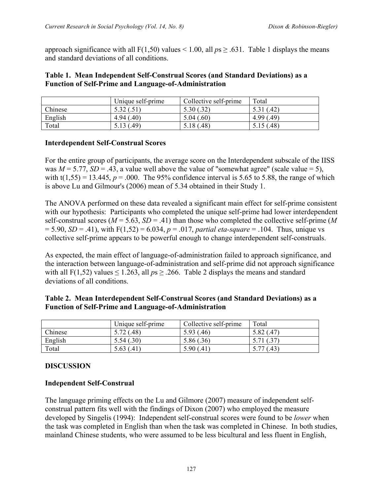approach significance with all  $F(1,50)$  values < 1.00, all  $ps \ge .631$ . Table 1 displays the means and standard deviations of all conditions.

#### **Table 1. Mean Independent Self-Construal Scores (and Standard Deviations) as a Function of Self-Prime and Language-of-Administration**

|         | Unique self-prime | Collective self-prime     | Total      |
|---------|-------------------|---------------------------|------------|
| Chinese | 5.32 (.51)        |                           | (.42)      |
| English | 4.94(0,40)        | 5.04(.60)                 | 4.99(0.49) |
| Total   | 5.13 $(.49)$      | $.48^{\circ}$<br>$5.18$ ( | 5.15(.48)  |

## **Interdependent Self-Construal Scores**

For the entire group of participants, the average score on the Interdependent subscale of the IISS was  $M = 5.77$ ,  $SD = .43$ , a value well above the value of "somewhat agree" (scale value = 5), with  $t(1,55) = 13.445$ ,  $p = .000$ . The 95% confidence interval is 5.65 to 5.88, the range of which is above Lu and Gilmour's (2006) mean of 5.34 obtained in their Study 1.

The ANOVA performed on these data revealed a significant main effect for self-prime consistent with our hypothesis: Participants who completed the unique self-prime had lower interdependent self-construal scores ( $M = 5.63$ ,  $SD = .41$ ) than those who completed the collective self-prime ( $M$ = 5.90, *SD* = .41), with F(1,52) = 6.034, *p* = .017, *partial eta-square* = .104. Thus, unique vs collective self-prime appears to be powerful enough to change interdependent self-construals.

As expected, the main effect of language-of-administration failed to approach significance, and the interaction between language-of-administration and self-prime did not approach significance with all F(1,52) values  $\leq 1.263$ , all  $ps \geq 0.266$ . Table 2 displays the means and standard deviations of all conditions.

|         | Unique self-prime | Collective self-prime | Total      |
|---------|-------------------|-----------------------|------------|
| Chinese | 5.72(0.48)        | 5.93 (.46)            | 5.82 (.47) |
| English | 5.54(.30)         | 5.86 (.36)            |            |
| Total   | 5.63 (.41)        | 5.90(.41)             | (0.43)     |

#### **Table 2. Mean Interdependent Self-Construal Scores (and Standard Deviations) as a Function of Self-Prime and Language-of-Administration**

## **DISCUSSION**

#### **Independent Self-Construal**

The language priming effects on the Lu and Gilmore (2007) measure of independent selfconstrual pattern fits well with the findings of Dixon (2007) who employed the measure developed by Singelis (1994): Independent self-construal scores were found to be *lower* when the task was completed in English than when the task was completed in Chinese. In both studies, mainland Chinese students, who were assumed to be less bicultural and less fluent in English,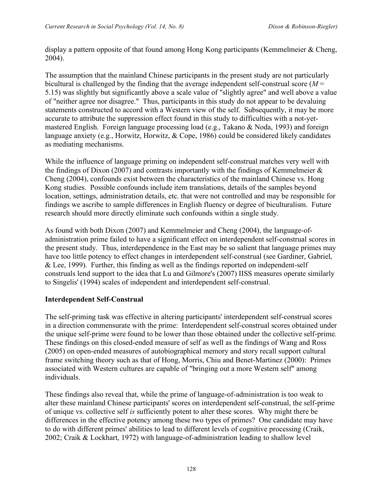display a pattern opposite of that found among Hong Kong participants (Kemmelmeier & Cheng, 2004).

The assumption that the mainland Chinese participants in the present study are not particularly bicultural is challenged by the finding that the average independent self-construal score (*M* = 5.15) was slightly but significantly above a scale value of "slightly agree" and well above a value of "neither agree nor disagree." Thus, participants in this study do not appear to be devaluing statements constructed to accord with a Western view of the self. Subsequently, it may be more accurate to attribute the suppression effect found in this study to difficulties with a not-yetmastered English. Foreign language processing load (e.g., Takano & Noda, 1993) and foreign language anxiety (e.g., Horwitz, Horwitz, & Cope, 1986) could be considered likely candidates as mediating mechanisms.

While the influence of language priming on independent self-construal matches very well with the findings of Dixon (2007) and contrasts importantly with the findings of Kemmelmeier  $\&$ Cheng (2004), confounds exist between the characteristics of the mainland Chinese vs. Hong Kong studies. Possible confounds include item translations, details of the samples beyond location, settings, administration details, etc. that were not controlled and may be responsible for findings we ascribe to sample differences in English fluency or degree of biculturalism. Future research should more directly eliminate such confounds within a single study.

As found with both Dixon (2007) and Kemmelmeier and Cheng (2004), the language-ofadministration prime failed to have a significant effect on interdependent self-construal scores in the present study. Thus, interdependence in the East may be so salient that language primes may have too little potency to effect changes in interdependent self-construal (see Gardiner, Gabriel, & Lee, 1999). Further, this finding as well as the findings reported on independent-self construals lend support to the idea that Lu and Gilmore's (2007) IISS measures operate similarly to Singelis' (1994) scales of independent and interdependent self-construal.

#### **Interdependent Self-Construal**

The self-priming task was effective in altering participants' interdependent self-construal scores in a direction commensurate with the prime: Interdependent self-construal scores obtained under the unique self-prime were found to be lower than those obtained under the collective self-prime. These findings on this closed-ended measure of self as well as the findings of Wang and Ross (2005) on open-ended measures of autobiographical memory and story recall support cultural frame switching theory such as that of Hong, Morris, Chiu and Benet-Martinez (2000): Primes associated with Western cultures are capable of "bringing out a more Western self" among individuals.

These findings also reveal that, while the prime of language-of-administration is too weak to alter these mainland Chinese participants' scores on interdependent self-construal, the self-prime of unique vs. collective self *is* sufficiently potent to alter these scores. Why might there be differences in the effective potency among these two types of primes? One candidate may have to do with different primes' abilities to lead to different levels of cognitive processing (Craik, 2002; Craik & Lockhart, 1972) with language-of-administration leading to shallow level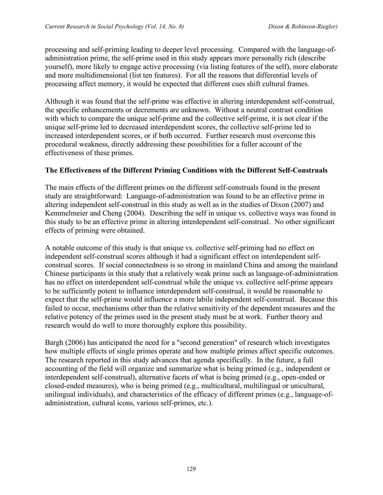processing and self-priming leading to deeper level processing. Compared with the language-ofadministration prime, the self-prime used in this study appears more personally rich (describe yourself), more likely to engage active processing (via listing features of the self), more elaborate and more multidimensional (list ten features). For all the reasons that differential levels of processing affect memory, it would be expected that different cues shift cultural frames.

Although it was found that the self-prime was effective in altering interdependent self-construal, the specific enhancements or decrements are unknown. Without a neutral contrast condition with which to compare the unique self-prime and the collective self-prime, it is not clear if the unique self-prime led to decreased interdependent scores, the collective self-prime led to increased interdependent scores, or if both occurred. Further research must overcome this procedural weakness, directly addressing these possibilities for a fuller account of the effectiveness of these primes.

## **The Effectiveness of the Different Priming Conditions with the Different Self-Construals**

The main effects of the different primes on the different self-construals found in the present study are straightforward: Language-of-administration was found to be an effective prime in altering independent self-construal in this study as well as in the studies of Dixon (2007) and Kemmelmeier and Cheng (2004). Describing the self in unique vs. collective ways was found in this study to be an effective prime in altering interdependent self-construal. No other significant effects of priming were obtained.

A notable outcome of this study is that unique vs. collective self-priming had no effect on independent self-construal scores although it had a significant effect on interdependent selfconstrual scores. If social connectedness is so strong in mainland China and among the mainland Chinese participants in this study that a relatively weak prime such as language-of-administration has no effect on interdependent self-construal while the unique vs. collective self-prime appears to be sufficiently potent to influence interdependent self-construal, it would be reasonable to expect that the self-prime would influence a more labile independent self-construal. Because this failed to occur, mechanisms other than the relative sensitivity of the dependent measures and the relative potency of the primes used in the present study must be at work. Further theory and research would do well to more thoroughly explore this possibility.

Bargh (2006) has anticipated the need for a "second generation" of research which investigates how multiple effects of single primes operate and how multiple primes affect specific outcomes. The research reported in this study advances that agenda specifically. In the future, a full accounting of the field will organize and summarize what is being primed (e.g., independent or interdependent self-construal), alternative facets of what is being primed (e.g., open-ended or closed-ended measures), who is being primed (e.g., multicultural, multilingual or unicultural, unilingual individuals), and characteristics of the efficacy of different primes (e.g., language-ofadministration, cultural icons, various self-primes, etc.).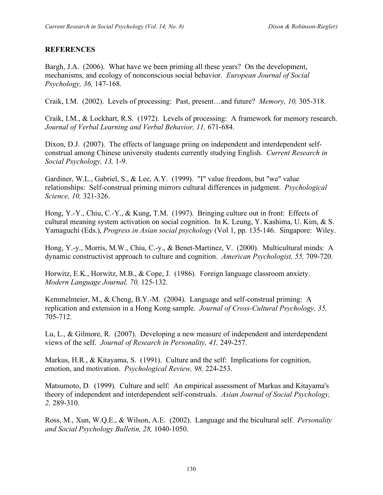## **REFERENCES**

Bargh, J.A. (2006). What have we been priming all these years? On the development, mechanisms, and ecology of nonconscious social behavior. *European Journal of Social Psychology, 36,* 147-168.

Craik, I.M. (2002). Levels of processing: Past, present…and future? *Memory, 10,* 305-318.

Craik, I.M., & Lockhart, R.S. (1972). Levels of processing: A framework for memory research. *Journal of Verbal Learning and Verbal Behavior, 11,* 671-684.

Dixon, D.J. (2007). The effects of language priing on independent and interdependent selfconstrual among Chinese university students currently studying English. *Current Research in Social Psychology, 13,* 1-9.

Gardiner, W.L., Gabriel, S., & Lee, A.Y. (1999). "I" value freedom, but "we" value relationships: Self-construal priming mirrors cultural differences in judgment. *Psychological Science, 10,* 321-326.

Hong, Y.-Y., Chiu, C.-Y., & Kung, T.M. (1997). Bringing culture out in front: Effects of cultural meaning system activation on social cognition. In K. Leung, Y. Kashima, U. Kim, & S. Yamaguchi (Eds.), *Progress in Asian social psychology* (Vol 1, pp. 135-146. Singapore: Wiley.

Hong, Y.-y., Morris, M.W., Chiu, C.-y., & Benet-Martinez, V. (2000). Multicultural minds: A dynamic constructivist approach to culture and cognition. *American Psychologist, 55,* 709-720.

Horwitz, E.K., Horwitz, M.B., & Cope, J. (1986). Foreign language classroom anxiety. *Modern Language Journal, 70,* 125-132.

Kemmelmeier, M., & Cheng, B.Y.-M. (2004). Language and self-construal priming: A replication and extension in a Hong Kong sample. *Journal of Cross-Cultural Psychology, 35,* 705-712.

Lu, L., & Gilmore, R. (2007). Developing a new measure of independent and interdependent views of the self. *Journal of Research in Personality, 41,* 249-257.

Markus, H.R., & Kitayama, S. (1991). Culture and the self: Implications for cognition, emotion, and motivation. *Psychological Review, 98,* 224-253.

Matsumoto, D. (1999). Culture and self: An empirical assessment of Markus and Kitayama's theory of independent and interdependent self-construals. *Asian Journal of Social Psychology, 2,* 289-310.

Ross, M., Xun, W.Q.E., & Wilson, A.E. (2002). Language and the bicultural self. *Personality and Social Psychology Bulletin, 28,* 1040-1050.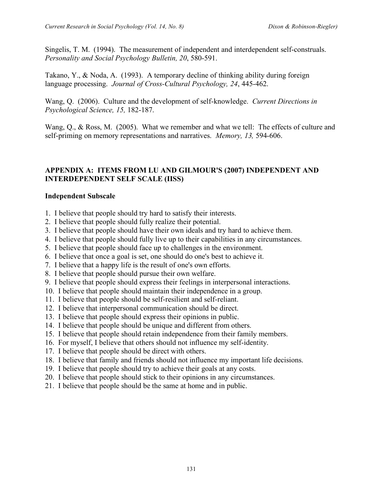Singelis, T. M. (1994). The measurement of independent and interdependent self-construals. *Personality and Social Psychology Bulletin, 20*, 580-591.

Takano, Y., & Noda, A. (1993). A temporary decline of thinking ability during foreign language processing. *Journal of Cross-Cultural Psychology, 24*, 445-462.

Wang, Q. (2006). Culture and the development of self-knowledge. *Current Directions in Psychological Science, 15,* 182-187.

Wang, Q., & Ross, M. (2005). What we remember and what we tell: The effects of culture and self-priming on memory representations and narratives. *Memory, 13,* 594-606.

#### **APPENDIX A: ITEMS FROM LU AND GILMOUR'S (2007) INDEPENDENT AND INTERDEPENDENT SELF SCALE (IISS)**

#### **Independent Subscale**

- 1. I believe that people should try hard to satisfy their interests.
- 2. I believe that people should fully realize their potential.
- 3. I believe that people should have their own ideals and try hard to achieve them.
- 4. I believe that people should fully live up to their capabilities in any circumstances.
- 5. I believe that people should face up to challenges in the environment.
- 6. I believe that once a goal is set, one should do one's best to achieve it.
- 7. I believe that a happy life is the result of one's own efforts.
- 8. I believe that people should pursue their own welfare.
- 9. I believe that people should express their feelings in interpersonal interactions.
- 10. I believe that people should maintain their independence in a group.
- 11. I believe that people should be self-resilient and self-reliant.
- 12. I believe that interpersonal communication should be direct.
- 13. I believe that people should express their opinions in public.
- 14. I believe that people should be unique and different from others.
- 15. I believe that people should retain independence from their family members.
- 16. For myself, I believe that others should not influence my self-identity.
- 17. I believe that people should be direct with others.
- 18. I believe that family and friends should not influence my important life decisions.
- 19. I believe that people should try to achieve their goals at any costs.
- 20. I believe that people should stick to their opinions in any circumstances.
- 21. I believe that people should be the same at home and in public.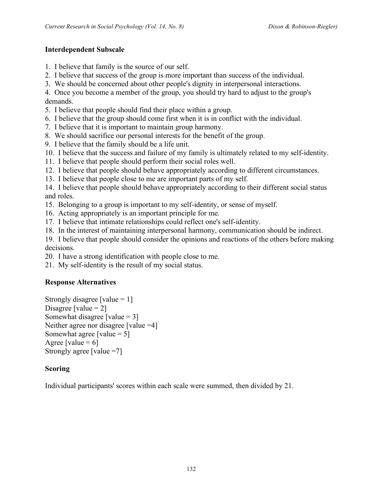## **Interdependent Subscale**

- 1. I believe that family is the source of our self.
- 2. I believe that success of the group is more important than success of the individual.
- 3. We should be concerned about other people's dignity in interpersonal interactions.

4. Once you become a member of the group, you should try hard to adjust to the group's demands.

- 5. I believe that people should find their place within a group.
- 6. I believe that the group should come first when it is in conflict with the individual.
- 7. I believe that it is important to maintain group harmony.
- 8. We should sacrifice our personal interests for the benefit of the group.
- 9. I believe that the family should be a life unit.
- 10. I believe that the success and failure of my family is ultimately related to my self-identity.
- 11. I believe that people should perform their social roles well.
- 12. I believe that people should behave appropriately according to different circumstances.
- 13. I believe that people close to me are important parts of my self.

14. I believe that people should behave appropriately according to their different social status and roles.

- 15. Belonging to a group is important to my self-identity, or sense of myself.
- 16. Acting appropriately is an important principle for me.
- 17. I believe that intimate relationships could reflect one's self-identity.
- 18. In the interest of maintaining interpersonal harmony, communication should be indirect.

19. I believe that people should consider the opinions and reactions of the others before making decisions.

20. I have a strong identification with people close to me.

21. My self-identity is the result of my social status.

## **Response Alternatives**

Strongly disagree [value  $= 1$ ] Disagree [value  $= 2$ ] Somewhat disagree [value  $= 3$ ] Neither agree nor disagree [value = 4] Somewhat agree [value  $= 5$ ] Agree [value  $= 6$ ] Strongly agree [value =7]

## **Scoring**

Individual participants' scores within each scale were summed, then divided by 21.